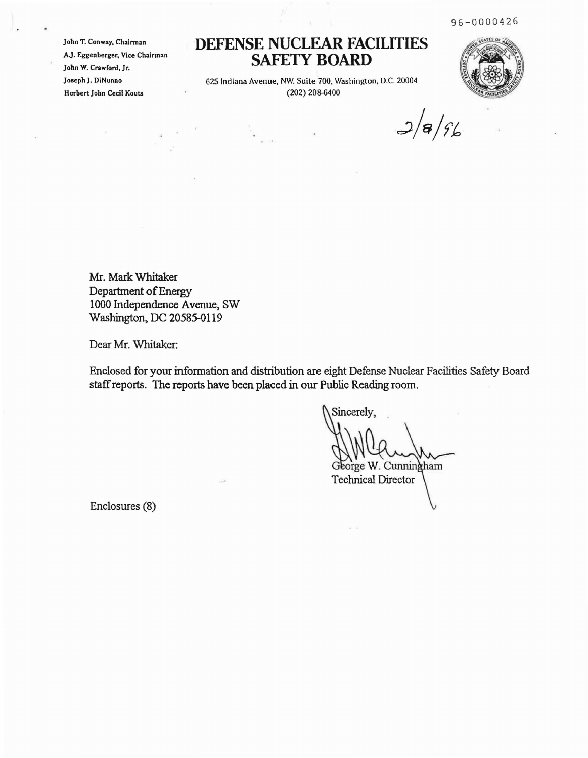96-0000426

John T. Conway, Chairman AJ. Eggenberger, Vice Chairman John W. Crawford, Jr. Joseph J. DiNunno HerbertJohn Cecil Kouts

## **DEFENSE NUCLEAR FACILITIES SAFETY BOARD**

625 Indiana Avenue, NW, Suite 700. Washington, D.C. 20004 (202) 208-6400

 $3/8/96$ 

Mr. Mark Whitaker Department of Energy 1000 Independence Avenue, SW Washington, DC 20585-0119

Dear Mr. Whitaker:

Enclosed for your information and distribution are eight Defense Nuclear Facilities Safety Board staffreports. The reports have been placed in our Public Reading room.

Sincerely, George W. Cunningham **Technical Director** 

Enclosures (8)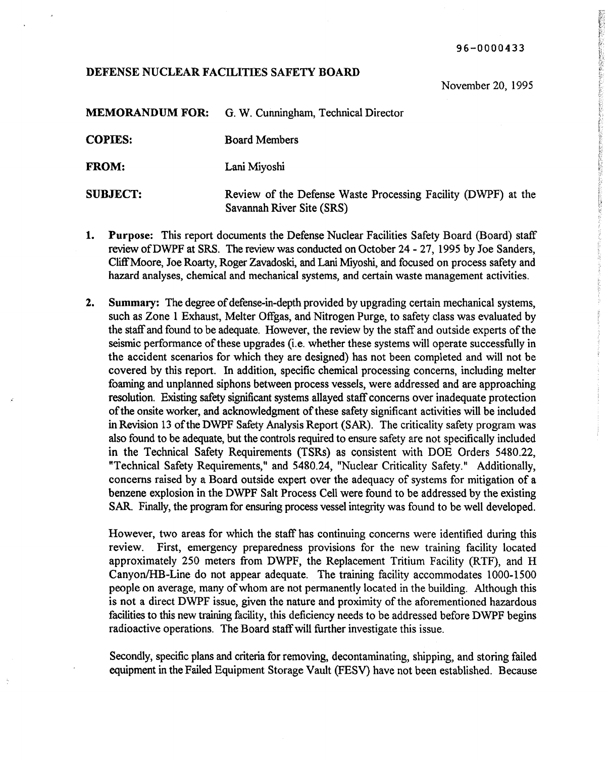96-0000433

## DEFENSE NUCLEAR FACILITIES SAFETY BOARD

November 20, 1995

**などは多く多くともものにはお思いです。このことにおいていたので、それにおいたかかいのだから、それは、これは、これは、これは、これは、これは、これは、これに、これで、これは、これは、これは、これは、これに こくさい こうしょう** 

|                | <b>MEMORANDUM FOR:</b> G. W. Cunningham, Technical Director |
|----------------|-------------------------------------------------------------|
| <b>COPIES:</b> | <b>Board Members</b>                                        |
| <b>FROM:</b>   | Lani Miyoshi                                                |

SUBJECT: Review of the Defense Waste Processing Facility (DWPF) at the Savannah River Site (SRS)

- 1. Purpose: This report documents the Defense Nuclear Facilities Safety Board (Board) staff review ofDWPF at SRS. The review was conducted on October 24 - 27, 1995 by Joe Sanders, CliffMoore, Joe Roarty, Roger Zavadoski, and Lani Miyoshi, and focused on process safety and hazard analyses, chemical and mechanical systems, and certain waste management activities.
- 2. Summary: The degree of defense-in-depth provided by upgrading certain mechanical systems, such as Zone 1 Exhaust, Melter Offgas, and Nitrogen Purge, to safety class was evaluated by the staff and found to be adequate. However, the review by the staff and outside experts of the seismic performance of these upgrades (i.e. whether these systems will operate successfully in the accident scenarios for which they are designed) has not been completed and will not be covered by this report. In addition, specific chemical processing concerns, including melter foaming and unplanned siphons between process vessels, were addressed and are approaching resolution. Existing safety significant systems allayed staff concerns over inadequate protection of the onsite worker, and acknowledgment of these safety significant activities will be included in Revision 13 ofthe DWPF Safety Analysis Report (SAR). The criticality safety program was also found to be adequate, but the controls required to ensure safety are not specifically included in the Technical Safety Requirements (TSRs) as consistent with DOE Orders 5480.22, "Technical Safety Requirements," and 5480.24, "Nuclear Criticality Safety." Additionally, concerns raised by a Board outside expert over the adequacy of systems for mitigation of a benzene explosion in the DWPF Salt Process Cell were found to be addressed by the existing SAR. Finally, the program for ensuring process vessel integrity was found to be well developed.

However, two areas for which the staff has continuing concerns were identified during this review. First, emergency preparedness provisions for the new training facility located approximately 250 meters from DWPF, the Replacement Tritium Facility (RTF), and H Canyon/HB-Line do not appear adequate. The training facility accommodates 1000-1500 people on average, many of whom are not permanently located in the building. Although this is not a direct DWPF issue, given the nature and proximity of the aforementioned hazardous facilities to this new training facility, this deficiency needs to be addressed before DWPF begins radioactive operations. The Board staffwill further investigate this issue.

Secondly, specific plans and criteria for removing, decontaminating, shipping, and storing failed equipment in the Failed Equipment Storage Vault (FESV) have not been established. Because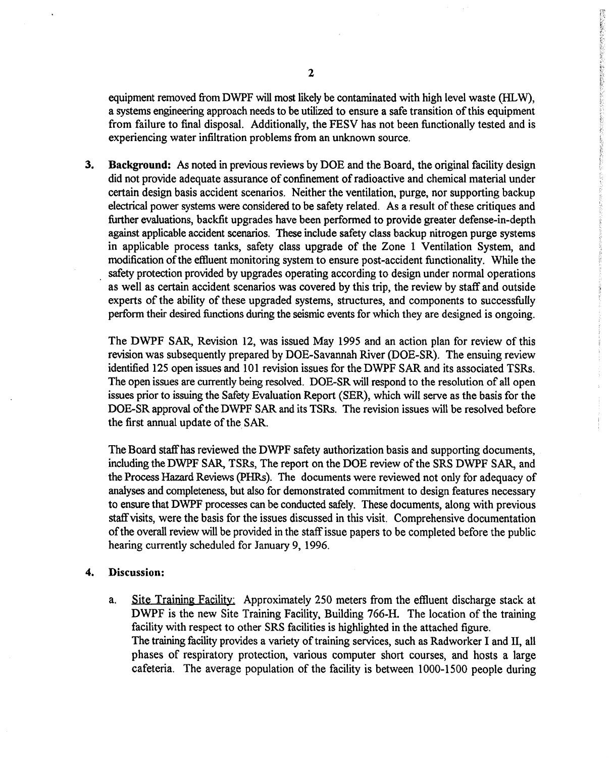equipment removed from DWPF will most likely be contaminated with high level waste (HLW), a systems engineering approach needs to be utilized to ensure a safe transition ofthis equipment from failure to final disposal. Additionally, the FESV has not been functionally tested and is experiencing water infiltration problems from an unknown source.

3. Background: As noted in previous reviews by DOE and the Board, the original facility design did not provide adequate assurance of confinement of radioactive and chemical material under certain design basis accident scenarios. Neither the ventilation, purge, nor supporting backup electrical power systems were considered to be safety related. As a result of these critiques and further evaluations, backfit upgrades have been performed to provide greater defense-in-depth against applicable accident scenarios. These include safety class backup nitrogen purge systems in applicable process tanks, safety class upgrade of the Zone 1 Ventilation System, and modification of the effluent monitoring system to ensure post-accident functionality. While the safety protection provided by upgrades operating according to design under normal operations as well as certain accident scenarios was covered by this trip, the review by staff and outside experts of the ability of these upgraded systems, structures, and components to successfully perform their desired functions during the seismic events for which they are designed is ongoing.

The DWPF SAR, Revision 12, was issued May 1995 and an action plan for review of this revision was subsequently prepared by DOE-Savannah River (DOE-SR). The ensuing review identified 125 open issues and 101 revision issues for the DWPF SAR and its associated TSRs. The open issues are currently being resolved. DOE-SR will respond to the resolution of all open issues prior to issuing the Safety Evaluation Report (SER), which will serve as the basis for the DOE-SR approval of the DWPF SAR and its TSRs. The revision issues will be resolved before the first annual update of the SAR.

The Board staffhas reviewed the DWPF safety authorization basis and supporting documents, including the DWPF SAR, TSRs, The report on the DOE review of the SRS DWPF SAR, and the Process Hazard Reviews (PHRs). The documents were reviewed not only for adequacy of analyses and completeness, but also for demonstrated commitment to design features necessary to ensure that DWPF processes can be conducted safely. These documents, along with previous staff visits, were the basis for the issues discussed in this visit. Comprehensive documentation ofthe overall review will be provided in the staffissue papers to be completed before the public hearing currently scheduled for January 9, 1996.

## 4. Discussion:

a. Site Training Facility: Approximately 250 meters from the effluent discharge stack at DWPF is the new Site Training Facility, Building 766-H. The location of the training facility with respect to other SRS facilities is highlighted in the attached figure. The training facility provides a variety of training services, such as Radworker I and II, all phases of respiratory protection, various computer short courses, and hosts a large cafeteria. The average population of the facility is between 1000-1500 people during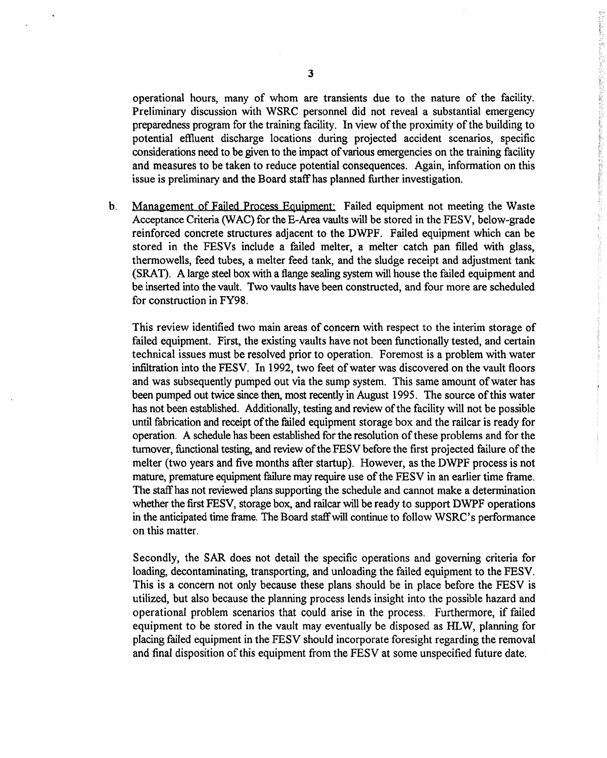operational hours, many of whom are transients due to the nature of the facility. Preliminary discussion with WSRC personnel did not reveal a substantial emergency preparedness program for the training facility. In view of the proximity of the building to potential effiuent discharge locations during projected accident scenarios, specific considerations need to be given to the impact of various emergencies on the training facility and measures to be taken to reduce potential consequences. Again, information on this issue is preliminary and the Board staffhas planned further investigation.

化重新分布 医心包的 医阿尔伯氏试验检尿病 医心包的 医心包的 医阿尔伯氏反应

b. Management of Failed Process Equipment: Failed equipment not meeting the Waste Acceptance Criteria *(WAC)* for the E-Area vaults will be stored in the FESV, below-grade reinforced concrete structures adjacent to the DWPF. Failed equipment which can be stored in the FESVs include a failed melter, a melter catch pan filled with glass, thermowells, feed tubes, a melter feed tank, and the sludge receipt and adjustment tank (SRAT). A large steel box with a flange sealing system will house the failed equipment and be inserted into the vault. Two vaults have been constructed, and four more are scheduled for construction in FY98.

This review identified two main areas of concern with respect to the interim storage of failed equipment. First, the existing vaults have not been functionally tested, and certain technical issues must be resolved prior to operation. Foremost is a problem with water infiltration into the FESV. In 1992, two feet of water was discovered on the vault floors and was subsequently pumped out via the sump system. This same amount of water has been pumped out twice since then, most recently in August 1995. The source of this water has not been established. Additionally, testing and review of the facility will not be possible until fabrication and receipt of the failed equipment storage box and the railcar is ready for operation. A schedule has been established for the resolution of these problems and for the turnover, functional testing, and review of the FESV before the first projected failure of the melter (two years and five months after startup). However, as the DWPF process is not mature, premature equipment failure may require use of the FESV in an earlier time frame. The staffhas not reviewed plans supporting the schedule and cannot make a determination whether the first FESV, storage box, and railcar will be ready to support DWPF operations in the anticipated time frame. The Board staffwill continue to follow WSRC's performance on this matter.

Secondly, the SAR does not detail the specific operations and governing criteria for loading, decontaminating, transporting, and unloading the failed equipment to the FESV. This is a concern not only because these plans should be in place before the FESV is utilized, but also because the planning process lends insight into the possible hazard and operational problem scenarios that could arise in the process. Furthermore, if failed equipment to be stored in the vault may eventually be disposed as HLW, planning for placing failed equipment in the FESV should incorporate foresight regarding the removal and final disposition of this equipment from the FESV at some unspecified future date.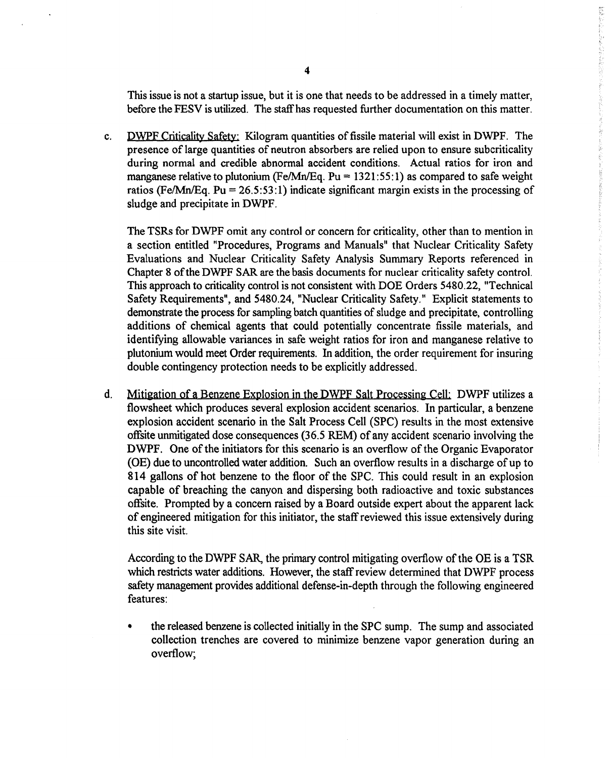This issue is not a startup issue, but it is one that needs to be addressed in a timely matter, before the FESV is utilized. The staffhas requested further documentation on this matter. 藤英都新村としても、私の社会をの違うともし

c. DWPF Criticality Safety: Kilogram quantities of fissile material will exist in DWPF. The presence of large quantities of neutron absorbers are relied upon to ensure subcriticality during normal and credible abnormal accident conditions. Actual ratios for iron and manganese relative to plutonium (Fe/Mn/Eq. Pu =  $1321:55:1$ ) as compared to safe weight ratios (Fe/Mn/Eq. Pu = 26.5:53:1) indicate significant margin exists in the processing of sludge and precipitate in DWPF.

The TSRs for DWPF omit any control or concern for criticality, other than to mention in a section entitled "Procedures, Programs and Manuals" that Nuclear Criticality Safety Evaluations and Nuclear Criticality Safety Analysis Summary Reports referenced in Chapter 8 of the DWPF SAR are the basis documents for nuclear criticality safety control. This approach to criticality control is not consistent with DOE Orders 5480.22, "Technical Safety Requirements", and 5480.24, "Nuclear Criticality Safety." Explicit statements to demonstrate the process for sampling batch quantities of sludge and precipitate, controlling additions of chemical agents that could potentially concentrate fissile materials, and identifying allowable variances in safe weight ratios for iron and manganese relative to plutonium would meet Order requirements. In addition, the order requirement for insuring double contingency protection needs to be explicitly addressed.

d. Mitigation of a Benzene Explosion in the DWPF Salt Processing Cell: DWPF utilizes a flowsheet which produces several explosion accident scenarios. In particular, a benzene explosion accident scenario in the Salt Process Cell (SPC) results in the most extensive offsite unmitigated dose consequences (36.5 REM) of any accident scenario involving the DWPF. One of the initiators for this scenario is an overflow of the Organic Evaporator (OE) due to uncontrolled water addition. Such an overflow results in a discharge of up to 814 gallons of hot benzene to the floor of the SPC. This could result in an explosion capable of breaching the canyon and dispersing both radioactive and toxic substances offsite. Prompted by a concern raised by a Board outside expert about the apparent lack of engineered mitigation for this initiator, the staffreviewed this issue extensively during this site visit.

According to the DWPF SAR, the primary control mitigating overflow of the OE is a TSR which restricts water additions. However, the staff review determined that DWPF process safety management provides additional defense-in-depth through the following engineered features:

• the released benzene is collected initially in the SPC sump. The sump and associated collection trenches are covered to minimize benzene vapor generation during an overflow;